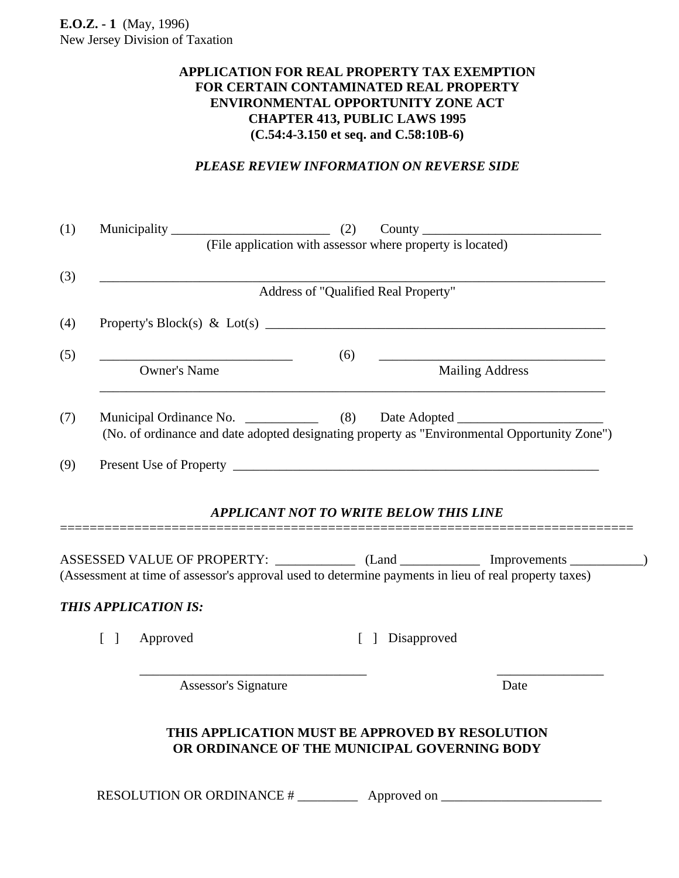## **APPLICATION FOR REAL PROPERTY TAX EXEMPTION FOR CERTAIN CONTAMINATED REAL PROPERTY ENVIRONMENTAL OPPORTUNITY ZONE ACT CHAPTER 413, PUBLIC LAWS 1995 (C.54:4-3.150 et seq. and C.58:10B-6)**

## *PLEASE REVIEW INFORMATION ON REVERSE SIDE*

| (1)                             |                                                                                                                                                                                  |                                               |                        |
|---------------------------------|----------------------------------------------------------------------------------------------------------------------------------------------------------------------------------|-----------------------------------------------|------------------------|
| (3)                             |                                                                                                                                                                                  | Address of "Qualified Real Property"          |                        |
| (4)                             |                                                                                                                                                                                  |                                               |                        |
| (5)                             | <u> 1990 - Johann John Stone, mars et al. (</u><br><b>Owner's Name</b>                                                                                                           | (6)                                           | <b>Mailing Address</b> |
| (7)                             | Municipal Ordinance No. _______________ (8) Date Adopted _______________________<br>(No. of ordinance and date adopted designating property as "Environmental Opportunity Zone") |                                               |                        |
| (9)                             |                                                                                                                                                                                  |                                               |                        |
|                                 |                                                                                                                                                                                  |                                               |                        |
|                                 |                                                                                                                                                                                  | <b>APPLICANT NOT TO WRITE BELOW THIS LINE</b> |                        |
|                                 | ASSESSED VALUE OF PROPERTY: _____________ (Land ______________ Improvements __________)                                                                                          |                                               |                        |
|                                 | (Assessment at time of assessor's approval used to determine payments in lieu of real property taxes)<br><b>THIS APPLICATION IS:</b>                                             |                                               |                        |
| $\begin{bmatrix} \end{bmatrix}$ | Approved                                                                                                                                                                         | Disapproved<br>$\lceil \rceil$                |                        |

RESOLUTION OR ORDINANCE # \_\_\_\_\_\_\_\_\_ Approved on \_\_\_\_\_\_\_\_\_\_\_\_\_\_\_\_\_\_\_\_\_\_\_\_